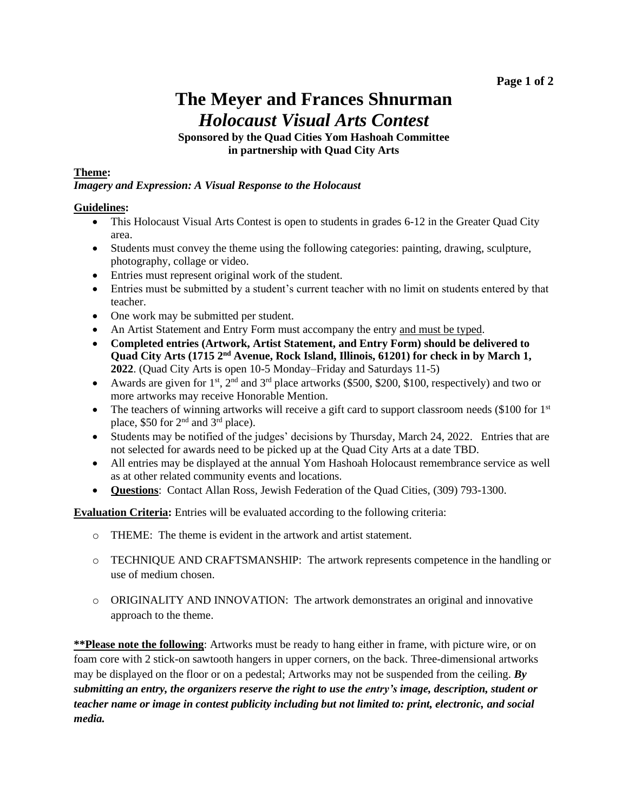# **The Meyer and Frances Shnurman** *Holocaust Visual Arts Contest*

#### **Sponsored by the Quad Cities Yom Hashoah Committee in partnership with Quad City Arts**

#### **Theme:**

#### *Imagery and Expression: A Visual Response to the Holocaust*

#### **Guidelines:**

- This Holocaust Visual Arts Contest is open to students in grades 6-12 in the Greater Quad City area.
- Students must convey the theme using the following categories: painting, drawing, sculpture, photography, collage or video.
- Entries must represent original work of the student.
- Entries must be submitted by a student's current teacher with no limit on students entered by that teacher.
- One work may be submitted per student.
- An Artist Statement and Entry Form must accompany the entry and must be typed.
- **Completed entries (Artwork, Artist Statement, and Entry Form) should be delivered to Quad City Arts (1715 2nd Avenue, Rock Island, Illinois, 61201) for check in by March 1, 2022**. (Quad City Arts is open 10-5 Monday–Friday and Saturdays 11-5)
- Awards are given for  $1<sup>st</sup>$ ,  $2<sup>nd</sup>$  and  $3<sup>rd</sup>$  place artworks (\$500, \$200, \$100, respectively) and two or more artworks may receive Honorable Mention.
- The teachers of winning artworks will receive a gift card to support classroom needs (\$100 for  $1<sup>st</sup>$ place, \$50 for 2nd and 3rd place).
- Students may be notified of the judges' decisions by Thursday, March 24, 2022. Entries that are not selected for awards need to be picked up at the Quad City Arts at a date TBD.
- All entries may be displayed at the annual Yom Hashoah Holocaust remembrance service as well as at other related community events and locations.
- **Questions**: Contact Allan Ross, Jewish Federation of the Quad Cities, (309) 793-1300.

**Evaluation Criteria:** Entries will be evaluated according to the following criteria:

- o THEME: The theme is evident in the artwork and artist statement.
- o TECHNIQUE AND CRAFTSMANSHIP: The artwork represents competence in the handling or use of medium chosen.
- o ORIGINALITY AND INNOVATION: The artwork demonstrates an original and innovative approach to the theme.

**\*\*Please note the following**: Artworks must be ready to hang either in frame, with picture wire, or on foam core with 2 stick-on sawtooth hangers in upper corners, on the back. Three-dimensional artworks may be displayed on the floor or on a pedestal; Artworks may not be suspended from the ceiling. *By submitting an entry, the organizers reserve the right to use the entry's image, description, student or teacher name or image in contest publicity including but not limited to: print, electronic, and social media.*